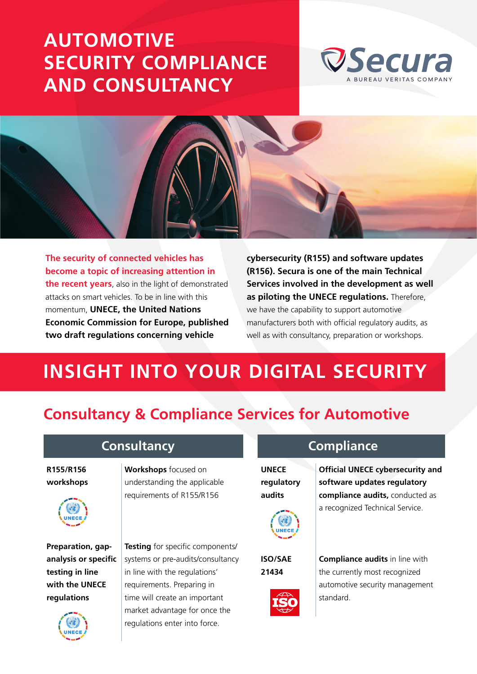## **AUTOMOTIVE [SECURITY COMPLIANCE](https://www.secura.com/services/iot/automotive)  AND CONSULTANCY**





**The security of connected vehicles has become a topic of increasing attention in the recent years**, also in the light of demonstrated attacks on smart vehicles. To be in line with this momentum, **UNECE, the United Nations Economic Commission for Europe, published two draft regulations concerning vehicle** 

**cybersecurity (R155) and software updates (R156). Secura is one of the main Technical Services involved in the development as well as piloting the UNECE regulations.** Therefore, we have the capability to support automotive manufacturers both with official regulatory audits, as well as with consultancy, preparation or workshops.

## **INSIGHT INTO YOUR DIGITAL SECURITY**

## **Consultancy & Compliance Services for Automotive**

**R155/R156 workshops**



**Preparation, gapanalysis or specific testing in line with the UNECE regulations**



**Workshops** focused on understanding the applicable requirements of R155/R156

**Testing** for specific components/ systems or pre-audits/consultancy in line with the regulations' requirements. Preparing in time will create an important market advantage for once the regulations enter into force.

**UNECE regulatory audits**



**ISO/SAE 21434**



**Consultancy Compliance**

**Official UNECE cybersecurity and software updates regulatory compliance audits,** conducted as a recognized Technical Service.

**Compliance audits** in line with the currently most recognized automotive security management standard.